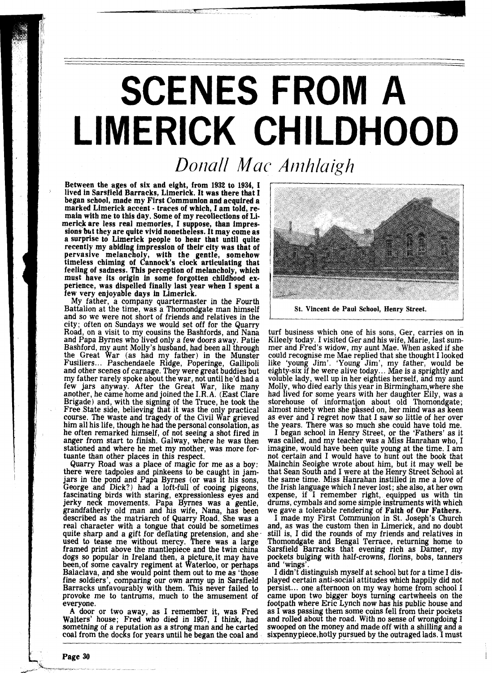## **SCENES FROM A** LIMERICK CHILDHOOD

## *DoiraN Mac Amhlaigh*

Between the ages of six and eight, from 1932 to 1934, I lived in Sarsfield Barracks, Limerick. It was there that 1 began school, made my First Communion and acquired a marked Limerick accent - traces of which, I am told, remain with me to this day. Some of my recollections of Limerick are less real memories, I suppose, than impressions but they are quite vivid nonetheless. It may come as a surprise to Limerick people to hear that until quite recently my abiding impression of their city was that of pervasive melancholy, with the gentle, somehow timeless chiming of Cannock's clock articulating that feeling of sadness. This perception of melancholy, which must have its origin in some forgotten childhood experience, was dispelled finally last year when I spent a few very enjoyable days in Limerick.

My father, a company quartermaster in the Fourth Battalion at the time, was a Thomondgate man himself and so we were not short of friends and relatives in the city; often on Sundays we would set off for the Quarry Road, on a visit to my cousins the Bashfords, and Nana and Papa Byrnes who lived only a few doors away. Patie Bashford, my aunt Molly's husband, had been all through the Great War (as had my father) in the Munster Fusiliers.. . Paschendaele Ridge, Poperinge, Gallipoli and other scenes of carnage. They were great buddies but my father rarely spoke about the war, not until he'd had a few jars anyway. After the Great War, like many another, he came home and joined the I.R.A. (East Clare Brigade) and, with the signing of the Truce, he took the Free State side, believing that it was the only practical course. The waste and tragedy of the Civil War grieved him all his life, though he had the personal consolation, as he often remarked himself, of not seeing a shot fired in anger from start to finish. Galway, where he was then stationed and where he met my mother, was more for-

tuante than other places in this respect.<br>Quarry Road was a place of magic for me as a boy: Quarry Road was a place of magic for me as a boy: there were tadpoles and pinkeens to be caught in jamjars in the pond and Papa Byrnes (or was it his sons,<br>George and Dick?) had a loft-full of cooing pigeons,<br>fascinating birds with staring, expressionless eyes and jerky neck movements. Papa Byrnes was a gentle, grandfatherly old man and his wife, Nana, has been described as the matriarch of Quarry Road. She was a real character with a tongue that could be sometimes quite sharp and a gift for deflating pretension, and she  $\cdot$ used to tease me without mercy. There was a large framed print above the mantlepiece and the twin china dogs so popular in Ireland then, a picture, it may have<br>been, of some cavalry regiment at Waterloo, or perhaps Balaclava, and she would point them out to me as 'those fine soldiers', comparing our own army up in Sarsfield Barracks unfavourably with them. This never failed to provoke me to tantrums, much to the amusement of everyone.

**A** door or two away, as I remember it, was Fred Walters' house; Fred who died in 1957, I think, had something of a reputation as a strong man and he carted coal from the docks for years until he began the coal and



St. Vincent de Paul School, Henry Street.

turf business which one of his sons, Ger, carries on in Kileely today. I visited Ger and his wife, Marie, last summer and Fred's widow, my aunt Mae. When asked if she could recognise me Mae replied that she thought I looked like 'young Jim'. 'Young Jim', my father, would be eighty-six if he were alive today. .. Mae is a sprightly and voluble lady, well up in her eighties herself, and my aunt Molly, who died early this year in Birmingham,where she had lived for some years with her daughter Eily, was a storehouse of information about old Thomondgate; almost ninety when she passed on, her mind was as keen as ever and I regret now that I saw so little of her over the years. There was so much she could have told me.

I began school in Henry Street, or the 'Fathers' as it was called, and my teacher was a Miss Hanrahan who, I imagine, would have been quite young at the time. I am not certain and I would have to hunt out the book that Mainchin Seoighe wrote about him, but it may well be that Sean South and I were at the Henry Street School at the same time. Miss Hanrahan instilled in me a love of the Irish language which I never lost; she also, at her own expense, if I remember right, equipped us with tin drums, cymbals and some simple instruments with which we gave a tolerable rendering of Faith of Our Fathers.

I made my First Communion in St. Joseph's Church and, as was the custom then in Limerick, and no doubt still is, I did the rounds of my friends and relatives in Thomondgate and Bengal Terrace, returning home to Sarsfield Barracks that evening rich as Damer, my pockets bulging with half-crowns, florins, bobs, tanners and 'wings'.

I didn't distinguish myself at school but for a time I displayed certain anti-social attitudes which happily did not persist ... one afternoon on my way home from school I came upon two bigger boys turning cartwheels on the footpath where Erie Lynch now has his public house and as I was passing them some coins fell from their pockets and rolled about the road. With no sense of wrongdoing I swooped on the money and made off with a shilling and a sixpenny piece, hotly pursued by the outraged lads. I must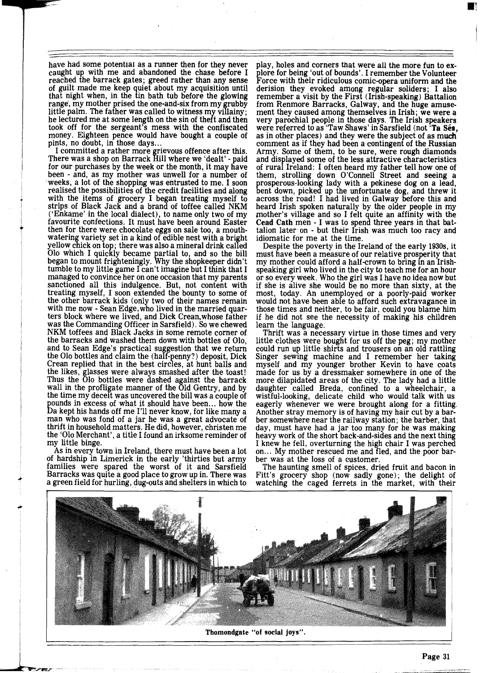have had some potential as a runner then for they never caught up with me and abandoned the chase before I reached the barrack gates; greed rather than any sense of guilt made me keep quiet about my acquisition until that night when, in the tin bath tub before the glowing range, my mother prised the one-and-six from my grubby little palm. The father was called to witness my villainy; he lectured me at some length on the sin of theft and then took off for the sergeant's mess with the confiscated money. Eighteen pence would have bought a couple of pints, no doubt, in those days...

pints, no doubt, in those days...<br>
I committed a rather more grievous offence after this.<br>
There was a shop on Barrack Hill where we 'dealt' - paid<br>
for our purchases by the week or the menth it may be<br> for our purchases by the week or the month, it may have been - and, as my mother was unwell for a number of weeks, a lot of the shopping was entrusted to me. I soon realised the possibilities of the credit facilities and along with the items of grocery I began treating myself to strips of Black Jack and a brand of toffee called NKM ('Enkame' in the local dialect), to name only two of my favourite confections. It must have been around Easter then for there were chocolate eggs on sale too, a mouthwatering variety set in a kind of edible nest with a bright yellow chick on top; there was also a mineral drink called 010 which I quickly became partial to, and so the bill began to mount frighteningly. Why the shopkeeper didn't<br>tumble to my little game I can't imagine but I think that I managed to convince her on one occasion that my parents sanctioned all this indulgence. But, not content with treating myself, I soon extended the bounty to some of the other barrack kids (only two of their names remain with me now - Sean Edge, who lived in the married quarters block where we lived, and Dick Crean,whose father was the Commanding Officer in Sarsfield). So we chewed NKM toffees and Black Jacks in some remote corner of the barracks and washed them down with bottles of 010, and to Sean Edge's practical suggestion that we return the Olo bottles and claim the  $(half-penny?)$  deposit, Dick Crean replied that in the best circles, at hunt balls and the likes, glasses were always smashed after the toast! Thus the 010 bottles were dashed against the barrack wall in the profligate manner of the Old Gentry, and by the time my deceit was uncovered the bill was a couple of pounds in excess of what it should have been... how the La kept his hands off me I'll never know, for like many a man who was fond of a jar he was a great advocate of thrift in household matters. He did, however, christen me the '010 Merchant', a title I found an irksome reminder of

As in every town in Ireland, there must have been a lot of hardship in Limerick in the early 'thirties but army of hardship in Limerick in the early 'thirties but army families were spared the worst of it and Sarsfield Barracks was quite a good place to grow up in. There was a green field for hurling, dug-outs and shelters in which to

play, holes and corners that were all the more fun to explore for being 'out of bounds'. I remember the Volunteer Force with their ridiculous comic-opera uniform and the derision they evoked among regular soliders; I also from Renmore Barracks, Galway, and the huge amusement they caused among themselves in Irish; we were a very parochial people in those days. The Irish speakers were referred to as 'Taw Shaws' in Sarsfield (not 'Ta Ses. as in other places) and they were the subject of as much comment as if they had been a contingent of the Russian Army. Some of them, to be sure, were rough diamonds and displayed some of the less attractive characteristics of rural Ireland: I often heard my father tell how one of them, strolling down O'Connell Street and seeing a prosperous-looking lady with a pekinese dog on a lead,<br>bent down, picked up the unfortunate dog, and threw it bent down, picked up the unfortunate dog, and threw it across the road! I had lived in Galway before this and heard Irish spoken naturally by the older people in my mother's village and so I felt quite an affinity with the Cead Cath men - I was to spend three years in that battalion later on - but their Irish was much too racy and idiomatic for me at the time.

Despite the poverty in the Ireland of the early 1930s, it must have been a measure of our relative prosperity that my mother could afford a half-crown to bring in an Irishspeaking girl who lived in the city to teach me for an hour or so every week. Who the girl was I have no idea now but if she is alive she would be no more than sixty, at the most, today. An unemployed or a poorly-paid worker would not have been able to afford such extravagance in those times and neither, to be fair, could you blame him if he did not see the necessity of making his children

learn the language.<br>Thrift was a necessary virtue in those times and very<br>little clothes were bought for us off the peg; my mother could run up little shirts and trousers on an old rattling Singer sewing machine and I remember her taking myself and my younger brother Kevin to have coats made for us by a dressmaker somewhere in one of the more dilapidated areas of the city. The lady had a little daughter called Breda, confined to a wheelchair, a wistful-looking, delicate child who would talk with us eagerly whenever we were brought along for a fitting. Another stray memory is of having my hair cut by a barber somewhere near the railway station; the barber, that day, must have had a jar too many for he was making heavy work of the short back-and-sides and the next thing I knew he fell, overturning the high chair I was perched on... My mother rescued me and fled, and the poor barber was at the loss of a customer.

The haunting smell of spices, dried fruit and bacon in Fitt's grocery shop (now sadly gone); the delight of watching the caged ferrets in the market, with their



**Thomondgate "of social joys".**